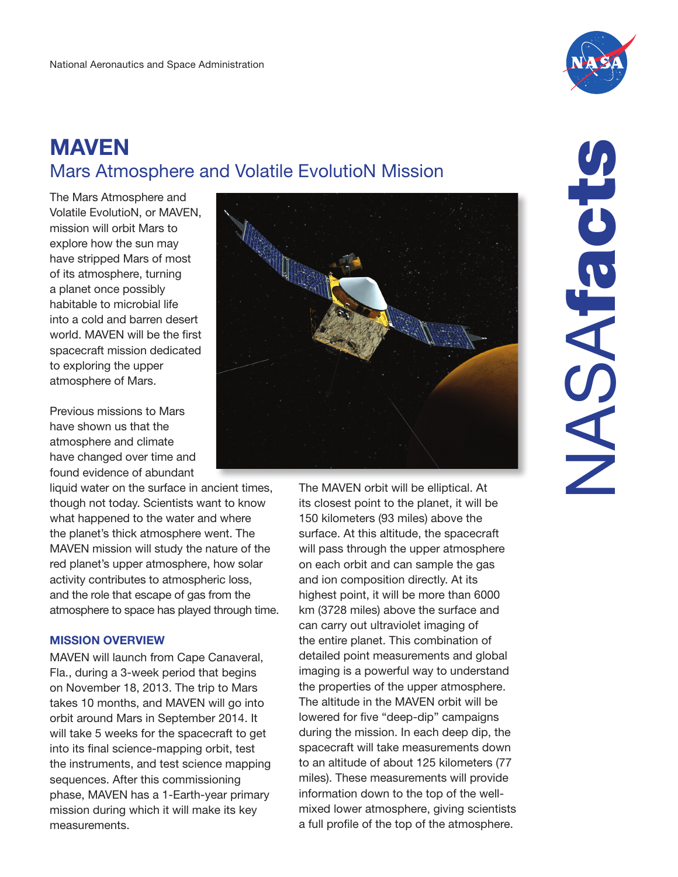

# MAVEN Mars Atmosphere and Volatile EvolutioN Mission

The Mars Atmosphere and Volatile EvolutioN, or MAVEN, mission will orbit Mars to explore how the sun may have stripped Mars of most of its atmosphere, turning a planet once possibly habitable to microbial life into a cold and barren desert world. MAVEN will be the first spacecraft mission dedicated to exploring the upper atmosphere of Mars.

Previous missions to Mars have shown us that the atmosphere and climate have changed over time and found evidence of abundant

liquid water on the surface in ancient times, though not today. Scientists want to know what happened to the water and where the planet's thick atmosphere went. The MAVEN mission will study the nature of the red planet's upper atmosphere, how solar activity contributes to atmospheric loss, and the role that escape of gas from the atmosphere to space has played through time.

# MISSION OVERVIEW

MAVEN will launch from Cape Canaveral, Fla., during a 3-week period that begins on November 18, 2013. The trip to Mars takes 10 months, and MAVEN will go into orbit around Mars in September 2014. It will take 5 weeks for the spacecraft to get into its final science-mapping orbit, test the instruments, and test science mapping sequences. After this commissioning phase, MAVEN has a 1-Earth-year primary mission during which it will make its key measurements.



The MAVEN orbit will be elliptical. At its closest point to the planet, it will be 150 kilometers (93 miles) above the surface. At this altitude, the spacecraft will pass through the upper atmosphere on each orbit and can sample the gas and ion composition directly. At its highest point, it will be more than 6000 km (3728 miles) above the surface and can carry out ultraviolet imaging of the entire planet. This combination of detailed point measurements and global imaging is a powerful way to understand the properties of the upper atmosphere. The altitude in the MAVEN orbit will be lowered for five "deep-dip" campaigns during the mission. In each deep dip, the spacecraft will take measurements down to an altitude of about 125 kilometers (77 miles). These measurements will provide information down to the top of the wellmixed lower atmosphere, giving scientists a full profile of the top of the atmosphere.